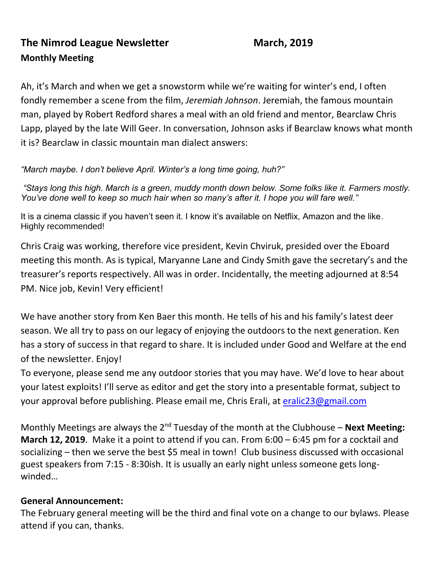# **The Nimrod League Newsletter March, 2019 Monthly Meeting**

Ah, it's March and when we get a snowstorm while we're waiting for winter's end, I often fondly remember a scene from the film, *Jeremiah Johnson*. Jeremiah, the famous mountain man, played by Robert Redford shares a meal with an old friend and mentor, Bearclaw Chris Lapp, played by the late Will Geer. In conversation, Johnson asks if Bearclaw knows what month it is? Bearclaw in classic mountain man dialect answers:

*"March maybe. I don't believe April. Winter's a long time going, huh?"*

*"Stays long this high. March is a green, muddy month down below. Some folks like it. Farmers mostly. You've done well to keep so much hair when so many's after it. I hope you will fare well."*

It is a cinema classic if you haven't seen it. I know it's available on Netflix, Amazon and the like. Highly recommended!

Chris Craig was working, therefore vice president, Kevin Chviruk, presided over the Eboard meeting this month. As is typical, Maryanne Lane and Cindy Smith gave the secretary's and the treasurer's reports respectively. All was in order. Incidentally, the meeting adjourned at 8:54 PM. Nice job, Kevin! Very efficient!

We have another story from Ken Baer this month. He tells of his and his family's latest deer season. We all try to pass on our legacy of enjoying the outdoors to the next generation. Ken has a story of success in that regard to share. It is included under Good and Welfare at the end of the newsletter. Enjoy!

To everyone, please send me any outdoor stories that you may have. We'd love to hear about your latest exploits! I'll serve as editor and get the story into a presentable format, subject to your approval before publishing. Please email me, Chris Erali, at [eralic23@gmail.com](mailto:eralic23@gmail.com)

Monthly Meetings are always the 2<sup>nd</sup> Tuesday of the month at the Clubhouse – **Next Meeting: March 12, 2019**. Make it a point to attend if you can. From 6:00 – 6:45 pm for a cocktail and socializing – then we serve the best \$5 meal in town! Club business discussed with occasional guest speakers from 7:15 - 8:30ish. It is usually an early night unless someone gets longwinded…

### **General Announcement:**

The February general meeting will be the third and final vote on a change to our bylaws. Please attend if you can, thanks.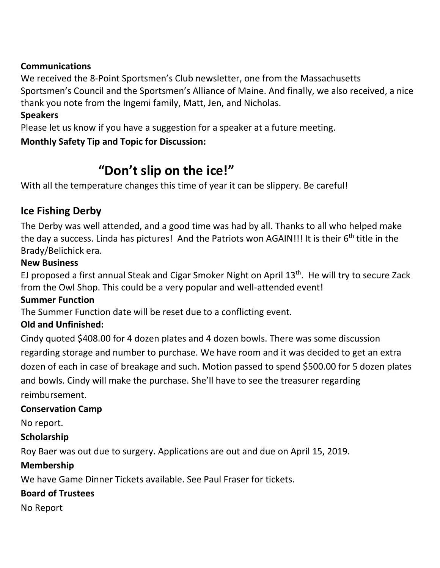### **Communications**

We received the 8-Point Sportsmen's Club newsletter, one from the Massachusetts Sportsmen's Council and the Sportsmen's Alliance of Maine. And finally, we also received, a nice thank you note from the Ingemi family, Matt, Jen, and Nicholas.

### **Speakers**

Please let us know if you have a suggestion for a speaker at a future meeting.

### **Monthly Safety Tip and Topic for Discussion:**

# **"Don't slip on the ice!"**

With all the temperature changes this time of year it can be slippery. Be careful!

### **Ice Fishing Derby**

The Derby was well attended, and a good time was had by all. Thanks to all who helped make the day a success. Linda has pictures! And the Patriots won AGAIN!!! It is their 6<sup>th</sup> title in the Brady/Belichick era.

### **New Business**

EJ proposed a first annual Steak and Cigar Smoker Night on April 13<sup>th</sup>. He will try to secure Zack from the Owl Shop. This could be a very popular and well-attended event!

### **Summer Function**

The Summer Function date will be reset due to a conflicting event.

### **Old and Unfinished:**

Cindy quoted \$408.00 for 4 dozen plates and 4 dozen bowls. There was some discussion regarding storage and number to purchase. We have room and it was decided to get an extra dozen of each in case of breakage and such. Motion passed to spend \$500.00 for 5 dozen plates and bowls. Cindy will make the purchase. She'll have to see the treasurer regarding reimbursement.

### **Conservation Camp**

No report.

### **Scholarship**

Roy Baer was out due to surgery. Applications are out and due on April 15, 2019.

### **Membership**

We have Game Dinner Tickets available. See Paul Fraser for tickets.

### **Board of Trustees**

No Report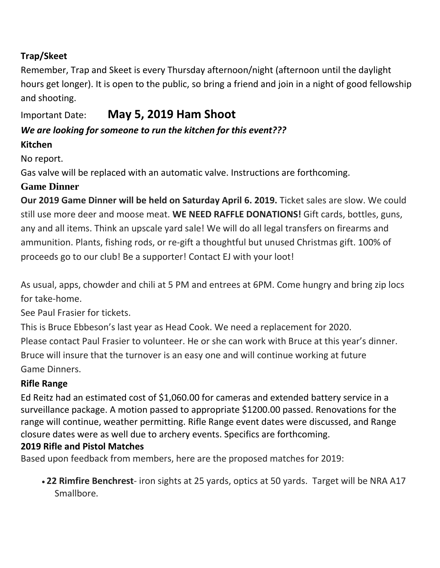### **Trap/Skeet**

Remember, Trap and Skeet is every Thursday afternoon/night (afternoon until the daylight hours get longer). It is open to the public, so bring a friend and join in a night of good fellowship and shooting.

# Important Date: **May 5, 2019 Ham Shoot**

## *We are looking for someone to run the kitchen for this event???*

### **Kitchen**

No report.

Gas valve will be replaced with an automatic valve. Instructions are forthcoming.

### **Game Dinner**

**Our 2019 Game Dinner will be held on Saturday April 6. 2019.** Ticket sales are slow. We could still use more deer and moose meat. **WE NEED RAFFLE DONATIONS!** Gift cards, bottles, guns, any and all items. Think an upscale yard sale! We will do all legal transfers on firearms and ammunition. Plants, fishing rods, or re-gift a thoughtful but unused Christmas gift. 100% of proceeds go to our club! Be a supporter! Contact EJ with your loot!

As usual, apps, chowder and chili at 5 PM and entrees at 6PM. Come hungry and bring zip locs for take-home.

See Paul Frasier for tickets.

This is Bruce Ebbeson's last year as Head Cook. We need a replacement for 2020.

Please contact Paul Frasier to volunteer. He or she can work with Bruce at this year's dinner. Bruce will insure that the turnover is an easy one and will continue working at future Game Dinners.

### **Rifle Range**

Ed Reitz had an estimated cost of \$1,060.00 for cameras and extended battery service in a surveillance package. A motion passed to appropriate \$1200.00 passed. Renovations for the range will continue, weather permitting. Rifle Range event dates were discussed, and Range closure dates were as well due to archery events. Specifics are forthcoming.

### **2019 Rifle and Pistol Matches**

Based upon feedback from members, here are the proposed matches for 2019:

• **22 Rimfire Benchrest**- iron sights at 25 yards, optics at 50 yards. Target will be NRA A17 Smallbore.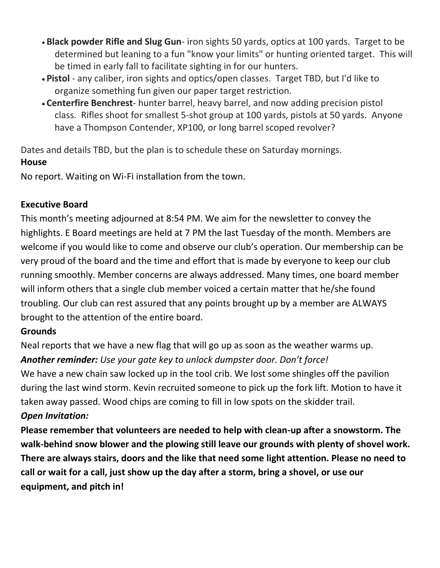- **Black powder Rifle and Slug Gun** iron sights 50 yards, optics at 100 yards. Target to be determined but leaning to a fun "know your limits" or hunting oriented target. This will be timed in early fall to facilitate sighting in for our hunters.
- **Pistol** any caliber, iron sights and optics/open classes. Target TBD, but I'd like to organize something fun given our paper target restriction.
- **Centerfire Benchrest** hunter barrel, heavy barrel, and now adding precision pistol class. Rifles shoot for smallest 5-shot group at 100 yards, pistols at 50 yards. Anyone have a Thompson Contender, XP100, or long barrel scoped revolver?

Dates and details TBD, but the plan is to schedule these on Saturday mornings.

### **House**

No report. Waiting on Wi-Fi installation from the town.

### **Executive Board**

This month's meeting adjourned at 8:54 PM. We aim for the newsletter to convey the highlights. E Board meetings are held at 7 PM the last Tuesday of the month. Members are welcome if you would like to come and observe our club's operation. Our membership can be very proud of the board and the time and effort that is made by everyone to keep our club running smoothly. Member concerns are always addressed. Many times, one board member will inform others that a single club member voiced a certain matter that he/she found troubling. Our club can rest assured that any points brought up by a member are ALWAYS brought to the attention of the entire board.

### **Grounds**

Neal reports that we have a new flag that will go up as soon as the weather warms up. *Another reminder: Use your gate key to unlock dumpster door. Don't force!*

We have a new chain saw locked up in the tool crib. We lost some shingles off the pavilion during the last wind storm. Kevin recruited someone to pick up the fork lift. Motion to have it taken away passed. Wood chips are coming to fill in low spots on the skidder trail. *Open Invitation:*

**Please remember that volunteers are needed to help with clean-up after a snowstorm. The walk-behind snow blower and the plowing still leave our grounds with plenty of shovel work. There are always stairs, doors and the like that need some light attention. Please no need to call or wait for a call, just show up the day after a storm, bring a shovel, or use our equipment, and pitch in!**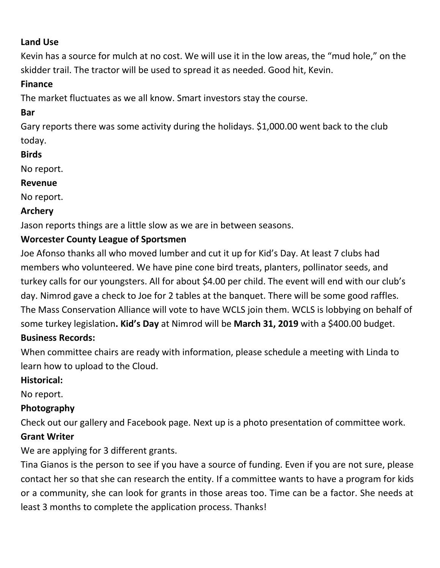### **Land Use**

Kevin has a source for mulch at no cost. We will use it in the low areas, the "mud hole," on the skidder trail. The tractor will be used to spread it as needed. Good hit, Kevin.

#### **Finance**

The market fluctuates as we all know. Smart investors stay the course.

### **Bar**

Gary reports there was some activity during the holidays. \$1,000.00 went back to the club today.

### **Birds**

No report.

#### **Revenue**

No report.

### **Archery**

Jason reports things are a little slow as we are in between seasons.

### **Worcester County League of Sportsmen**

Joe Afonso thanks all who moved lumber and cut it up for Kid's Day. At least 7 clubs had members who volunteered. We have pine cone bird treats, planters, pollinator seeds, and turkey calls for our youngsters. All for about \$4.00 per child. The event will end with our club's day. Nimrod gave a check to Joe for 2 tables at the banquet. There will be some good raffles. The Mass Conservation Alliance will vote to have WCLS join them. WCLS is lobbying on behalf of some turkey legislation**. Kid's Day** at Nimrod will be **March 31, 2019** with a \$400.00 budget. **Business Records:** 

When committee chairs are ready with information, please schedule a meeting with Linda to learn how to upload to the Cloud.

### **Historical:**

No report.

### **Photography**

Check out our gallery and Facebook page. Next up is a photo presentation of committee work.

### **Grant Writer**

We are applying for 3 different grants.

Tina Gianos is the person to see if you have a source of funding. Even if you are not sure, please contact her so that she can research the entity. If a committee wants to have a program for kids or a community, she can look for grants in those areas too. Time can be a factor. She needs at least 3 months to complete the application process. Thanks!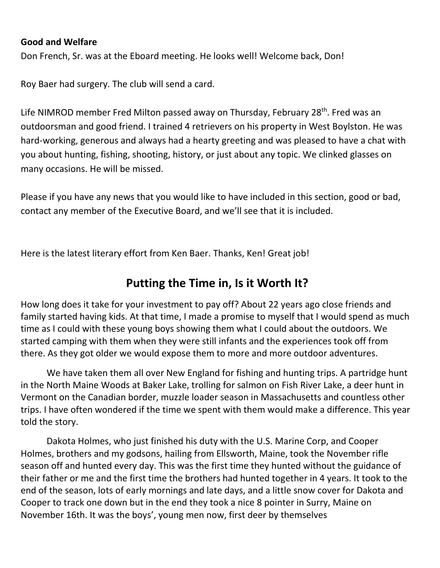#### **Good and Welfare**

Don French, Sr. was at the Eboard meeting. He looks well! Welcome back, Don!

Roy Baer had surgery. The club will send a card.

Life NIMROD member Fred Milton passed away on Thursday, February 28<sup>th</sup>. Fred was an outdoorsman and good friend. I trained 4 retrievers on his property in West Boylston. He was hard-working, generous and always had a hearty greeting and was pleased to have a chat with you about hunting, fishing, shooting, history, or just about any topic. We clinked glasses on many occasions. He will be missed.

Please if you have any news that you would like to have included in this section, good or bad, contact any member of the Executive Board, and we'll see that it is included.

Here is the latest literary effort from Ken Baer. Thanks, Ken! Great job!

# **Putting the Time in, Is it Worth It?**

How long does it take for your investment to pay off? About 22 years ago close friends and family started having kids. At that time, I made a promise to myself that I would spend as much time as I could with these young boys showing them what I could about the outdoors. We started camping with them when they were still infants and the experiences took off from there. As they got older we would expose them to more and more outdoor adventures.

We have taken them all over New England for fishing and hunting trips. A partridge hunt in the North Maine Woods at Baker Lake, trolling for salmon on Fish River Lake, a deer hunt in Vermont on the Canadian border, muzzle loader season in Massachusetts and countless other trips. I have often wondered if the time we spent with them would make a difference. This year told the story.

Dakota Holmes, who just finished his duty with the U.S. Marine Corp, and Cooper Holmes, brothers and my godsons, hailing from Ellsworth, Maine, took the November rifle season off and hunted every day. This was the first time they hunted without the guidance of their father or me and the first time the brothers had hunted together in 4 years. It took to the end of the season, lots of early mornings and late days, and a little snow cover for Dakota and Cooper to track one down but in the end they took a nice 8 pointer in Surry, Maine on November 16th. It was the boys', young men now, first deer by themselves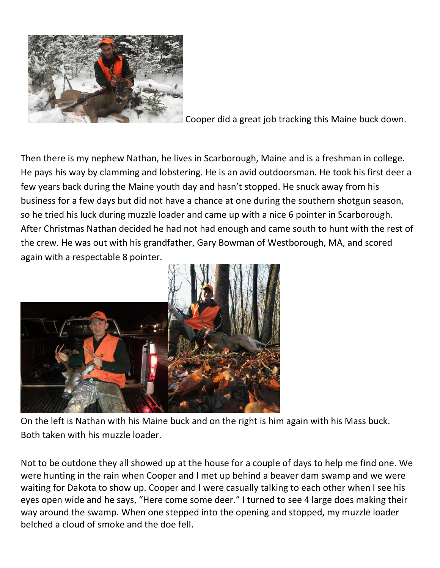

Cooper did a great job tracking this Maine buck down.

Then there is my nephew Nathan, he lives in Scarborough, Maine and is a freshman in college. He pays his way by clamming and lobstering. He is an avid outdoorsman. He took his first deer a few years back during the Maine youth day and hasn't stopped. He snuck away from his business for a few days but did not have a chance at one during the southern shotgun season, so he tried his luck during muzzle loader and came up with a nice 6 pointer in Scarborough. After Christmas Nathan decided he had not had enough and came south to hunt with the rest of the crew. He was out with his grandfather, Gary Bowman of Westborough, MA, and scored again with a respectable 8 pointer.



On the left is Nathan with his Maine buck and on the right is him again with his Mass buck. Both taken with his muzzle loader.

Not to be outdone they all showed up at the house for a couple of days to help me find one. We were hunting in the rain when Cooper and I met up behind a beaver dam swamp and we were waiting for Dakota to show up. Cooper and I were casually talking to each other when I see his eyes open wide and he says, "Here come some deer." I turned to see 4 large does making their way around the swamp. When one stepped into the opening and stopped, my muzzle loader belched a cloud of smoke and the doe fell.